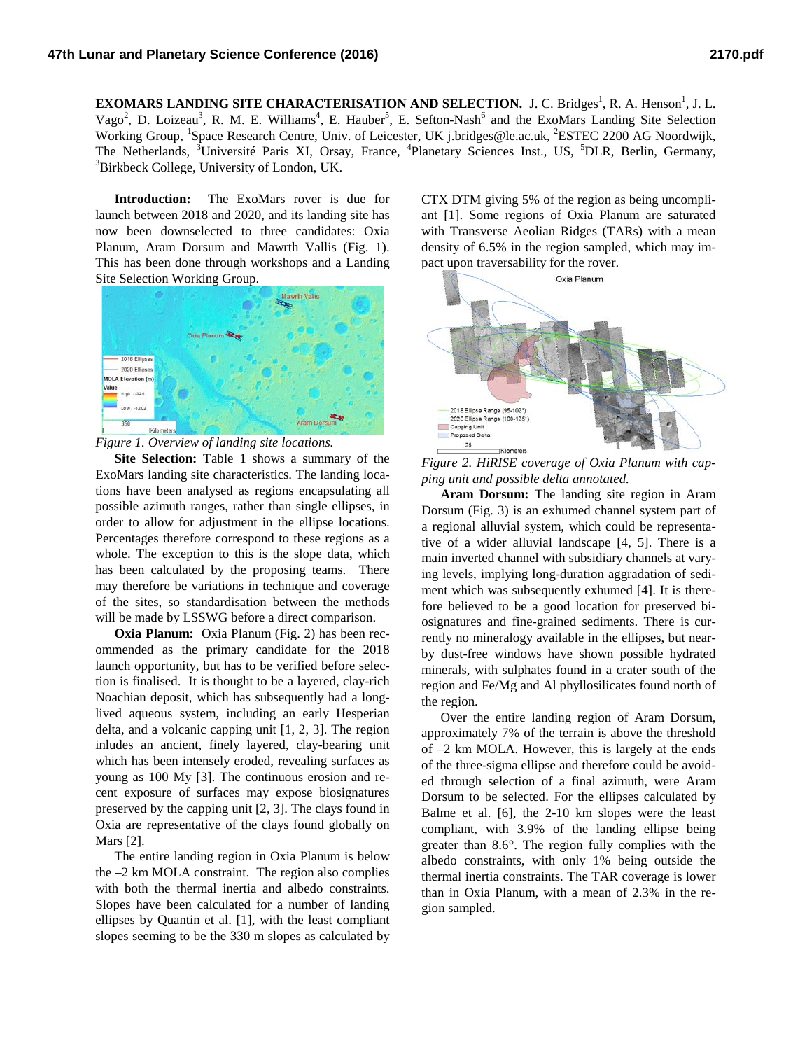**EXOMARS LANDING SITE CHARACTERISATION AND SELECTION.** J. C. Bridges<sup>1</sup>, R. A. Henson<sup>1</sup>, J. L. Vago<sup>2</sup>, D. Loizeau<sup>3</sup>, R. M. E. Williams<sup>4</sup>, E. Hauber<sup>5</sup>, E. Sefton-Nash<sup>6</sup> and the ExoMars Landing Site Selection Working Group, <sup>1</sup>Space Research Centre, Univ. of Leicester, UK j.bridges@le.ac.uk, <sup>2</sup>ESTEC 2200 AG Noordwijk, The Netherlands, <sup>3</sup>Université Paris XI, Orsay, France, <sup>4</sup>Planetary Sciences Inst., US, <sup>5</sup>DLR, Berlin, Germany, <sup>3</sup>Birkhaek Callage University of Landan UK <sup>3</sup>Birkbeck College, University of London, UK.

**Introduction:** The ExoMars rover is due for launch between 2018 and 2020, and its landing site has now been downselected to three candidates: Oxia Planum, Aram Dorsum and Mawrth Vallis (Fig. 1). This has been done through workshops and a Landing Site Selection Working Group.





**Site Selection:** Table 1 shows a summary of the ExoMars landing site characteristics. The landing locations have been analysed as regions encapsulating all possible azimuth ranges, rather than single ellipses, in order to allow for adjustment in the ellipse locations. Percentages therefore correspond to these regions as a whole. The exception to this is the slope data, which has been calculated by the proposing teams. There may therefore be variations in technique and coverage of the sites, so standardisation between the methods will be made by LSSWG before a direct comparison.

**Oxia Planum:** Oxia Planum (Fig. 2) has been recommended as the primary candidate for the 2018 launch opportunity, but has to be verified before selection is finalised. It is thought to be a layered, clay-rich Noachian deposit, which has subsequently had a longlived aqueous system, including an early Hesperian delta, and a volcanic capping unit [1, 2, 3]. The region inludes an ancient, finely layered, clay-bearing unit which has been intensely eroded, revealing surfaces as young as 100 My [3]. The continuous erosion and recent exposure of surfaces may expose biosignatures preserved by the capping unit [2, 3]. The clays found in Oxia are representative of the clays found globally on Mars [2].

The entire landing region in Oxia Planum is below the –2 km MOLA constraint. The region also complies with both the thermal inertia and albedo constraints. Slopes have been calculated for a number of landing ellipses by Quantin et al. [1], with the least compliant slopes seeming to be the 330 m slopes as calculated by

CTX DTM giving 5% of the region as being uncompliant [1]. Some regions of Oxia Planum are saturated with Transverse Aeolian Ridges (TARs) with a mean density of 6.5% in the region sampled, which may impact upon traversability for the rover.



*Figure 2. HiRISE coverage of Oxia Planum with capping unit and possible delta annotated.*

**Aram Dorsum:** The landing site region in Aram Dorsum (Fig. 3) is an exhumed channel system part of a regional alluvial system, which could be representative of a wider alluvial landscape [4, 5]. There is a main inverted channel with subsidiary channels at varying levels, implying long-duration aggradation of sediment which was subsequently exhumed [4]. It is therefore believed to be a good location for preserved biosignatures and fine-grained sediments. There is currently no mineralogy available in the ellipses, but nearby dust-free windows have shown possible hydrated minerals, with sulphates found in a crater south of the region and Fe/Mg and Al phyllosilicates found north of the region.

Over the entire landing region of Aram Dorsum, approximately 7% of the terrain is above the threshold of –2 km MOLA. However, this is largely at the ends of the three-sigma ellipse and therefore could be avoided through selection of a final azimuth, were Aram Dorsum to be selected. For the ellipses calculated by Balme et al. [6], the 2-10 km slopes were the least compliant, with 3.9% of the landing ellipse being greater than 8.6°. The region fully complies with the albedo constraints, with only 1% being outside the thermal inertia constraints. The TAR coverage is lower than in Oxia Planum, with a mean of 2.3% in the region sampled.